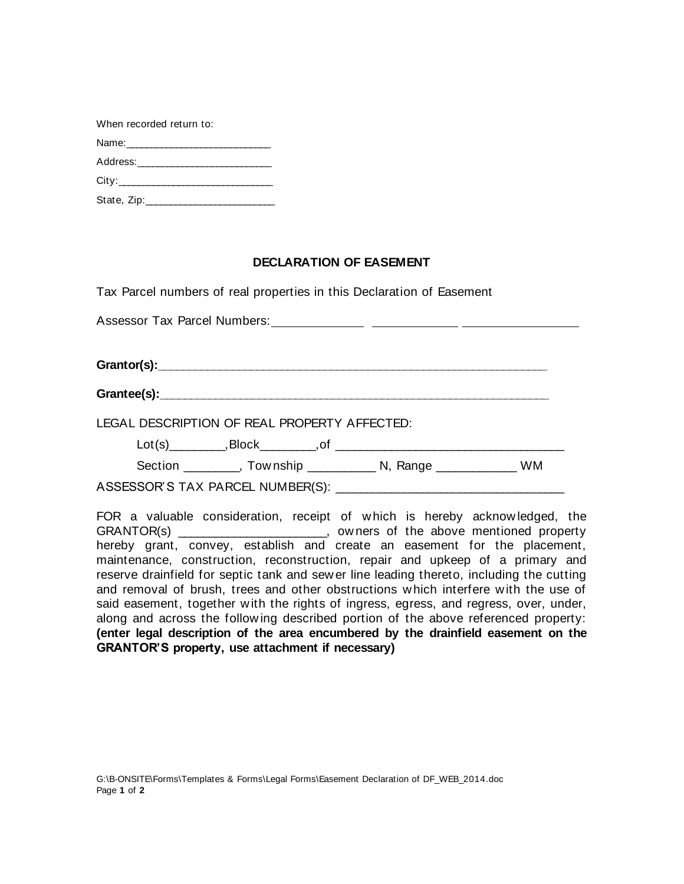| When recorded return to: |  |  |  |  |  |  |  |  |
|--------------------------|--|--|--|--|--|--|--|--|
|                          |  |  |  |  |  |  |  |  |
|                          |  |  |  |  |  |  |  |  |
|                          |  |  |  |  |  |  |  |  |
|                          |  |  |  |  |  |  |  |  |

## **DECLARATION OF EASEMENT**

Tax Parcel numbers of real properties in this Declaration of Easement

| LEGAL DESCRIPTION OF REAL PROPERTY AFFECTED: |  |  |                                                                          |  |  |  |  |  |  |  |  |
|----------------------------------------------|--|--|--------------------------------------------------------------------------|--|--|--|--|--|--|--|--|
|                                              |  |  | $Lot(s)$ $, Block$ $, of$ $, and$ $, respectively.$                      |  |  |  |  |  |  |  |  |
|                                              |  |  | Section __________, Township _______________ N, Range _______________ WM |  |  |  |  |  |  |  |  |
|                                              |  |  |                                                                          |  |  |  |  |  |  |  |  |

FOR a valuable consideration, receipt of w hich is hereby acknow ledged, the GRANTOR(s) \_\_\_\_\_\_\_\_\_\_\_\_\_\_\_\_\_\_\_\_\_\_\_\_, ow ners of the above mentioned property hereby grant, convey, establish and create an easement for the placement, maintenance, construction, reconstruction, repair and upkeep of a primary and reserve drainfield for septic tank and sew er line leading thereto, including the cutting and removal of brush, trees and other obstructions w hich interfere w ith the use of said easement, together with the rights of ingress, egress, and regress, over, under, along and across the follow ing described portion of the above referenced property: **(enter legal description of the area encumbered by the drainfield easement on the GRANTOR'S property, use attachment if necessary)**